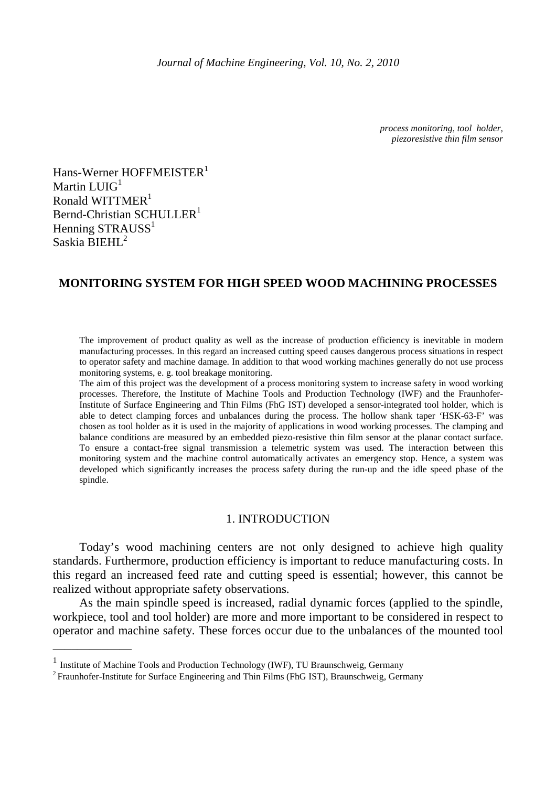*process monitoring, tool holder, piezoresistive thin film sensor* 

Hans-Werner HOFFMEISTER<sup>1</sup> Martin LUIG<sup>1</sup> Ronald WITTMER<sup>1</sup> Bernd-Christian SCHULLER<sup>1</sup> Henning STRAUSS<sup>1</sup> Saskia BIEHL<sup>2</sup>

\_\_\_\_\_\_\_\_\_\_\_\_\_

# **MONITORING SYSTEM FOR HIGH SPEED WOOD MACHINING PROCESSES**

The improvement of product quality as well as the increase of production efficiency is inevitable in modern manufacturing processes. In this regard an increased cutting speed causes dangerous process situations in respect to operator safety and machine damage. In addition to that wood working machines generally do not use process monitoring systems, e. g. tool breakage monitoring.

The aim of this project was the development of a process monitoring system to increase safety in wood working processes. Therefore, the Institute of Machine Tools and Production Technology (IWF) and the Fraunhofer-Institute of Surface Engineering and Thin Films (FhG IST) developed a sensor-integrated tool holder, which is able to detect clamping forces and unbalances during the process. The hollow shank taper 'HSK-63-F' was chosen as tool holder as it is used in the majority of applications in wood working processes. The clamping and balance conditions are measured by an embedded piezo-resistive thin film sensor at the planar contact surface. To ensure a contact-free signal transmission a telemetric system was used. The interaction between this monitoring system and the machine control automatically activates an emergency stop. Hence, a system was developed which significantly increases the process safety during the run-up and the idle speed phase of the spindle.

### 1. INTRODUCTION

 Today's wood machining centers are not only designed to achieve high quality standards. Furthermore, production efficiency is important to reduce manufacturing costs. In this regard an increased feed rate and cutting speed is essential; however, this cannot be realized without appropriate safety observations.

As the main spindle speed is increased, radial dynamic forces (applied to the spindle, workpiece, tool and tool holder) are more and more important to be considered in respect to operator and machine safety. These forces occur due to the unbalances of the mounted tool

<sup>1</sup> Institute of Machine Tools and Production Technology (IWF), TU Braunschweig, Germany

<sup>&</sup>lt;sup>2</sup> Fraunhofer-Institute for Surface Engineering and Thin Films (FhG IST), Braunschweig, Germany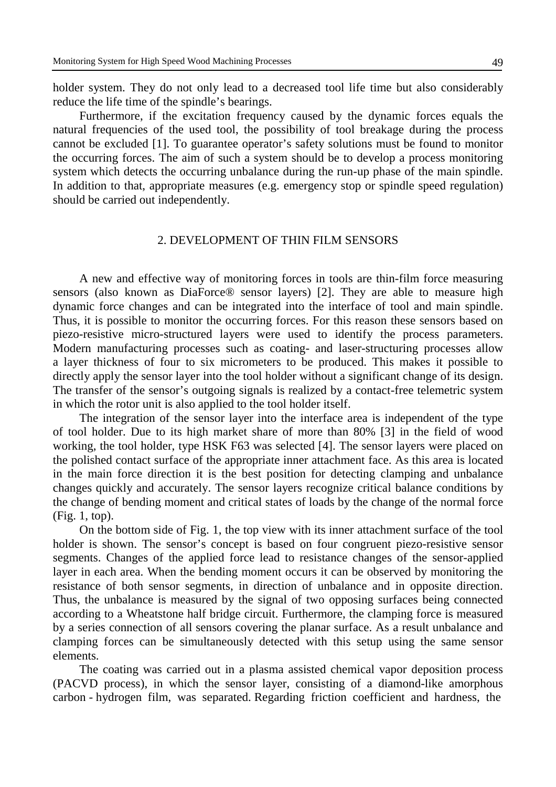holder system. They do not only lead to a decreased tool life time but also considerably reduce the life time of the spindle's bearings.

Furthermore, if the excitation frequency caused by the dynamic forces equals the natural frequencies of the used tool, the possibility of tool breakage during the process cannot be excluded [1]. To guarantee operator's safety solutions must be found to monitor the occurring forces. The aim of such a system should be to develop a process monitoring system which detects the occurring unbalance during the run-up phase of the main spindle. In addition to that, appropriate measures (e.g. emergency stop or spindle speed regulation) should be carried out independently.

## 2. DEVELOPMENT OF THIN FILM SENSORS

A new and effective way of monitoring forces in tools are thin-film force measuring sensors (also known as DiaForce® sensor layers) [2]. They are able to measure high dynamic force changes and can be integrated into the interface of tool and main spindle. Thus, it is possible to monitor the occurring forces. For this reason these sensors based on piezo-resistive micro-structured layers were used to identify the process parameters. Modern manufacturing processes such as coating- and laser-structuring processes allow a layer thickness of four to six micrometers to be produced. This makes it possible to directly apply the sensor layer into the tool holder without a significant change of its design. The transfer of the sensor's outgoing signals is realized by a contact-free telemetric system in which the rotor unit is also applied to the tool holder itself.

The integration of the sensor layer into the interface area is independent of the type of tool holder. Due to its high market share of more than 80% [3] in the field of wood working, the tool holder, type HSK F63 was selected [4]. The sensor layers were placed on the polished contact surface of the appropriate inner attachment face. As this area is located in the main force direction it is the best position for detecting clamping and unbalance changes quickly and accurately. The sensor layers recognize critical balance conditions by the change of bending moment and critical states of loads by the change of the normal force (Fig. 1, top).

On the bottom side of Fig. 1, the top view with its inner attachment surface of the tool holder is shown. The sensor's concept is based on four congruent piezo-resistive sensor segments. Changes of the applied force lead to resistance changes of the sensor-applied layer in each area. When the bending moment occurs it can be observed by monitoring the resistance of both sensor segments, in direction of unbalance and in opposite direction. Thus, the unbalance is measured by the signal of two opposing surfaces being connected according to a Wheatstone half bridge circuit. Furthermore, the clamping force is measured by a series connection of all sensors covering the planar surface. As a result unbalance and clamping forces can be simultaneously detected with this setup using the same sensor elements.

The coating was carried out in a plasma assisted chemical vapor deposition process (PACVD process), in which the sensor layer, consisting of a diamond-like amorphous carbon - hydrogen film, was separated. Regarding friction coefficient and hardness, the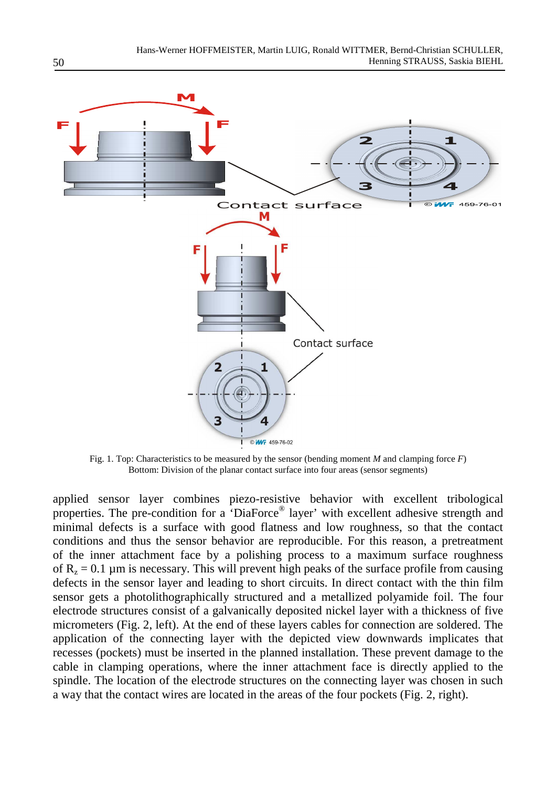

Fig. 1. Top: Characteristics to be measured by the sensor (bending moment *M* and clamping force *F*) Bottom: Division of the planar contact surface into four areas (sensor segments)

applied sensor layer combines piezo-resistive behavior with excellent tribological properties. The pre-condition for a 'DiaForce® layer' with excellent adhesive strength and minimal defects is a surface with good flatness and low roughness, so that the contact conditions and thus the sensor behavior are reproducible. For this reason, a pretreatment of the inner attachment face by a polishing process to a maximum surface roughness of  $R_z = 0.1 \mu m$  is necessary. This will prevent high peaks of the surface profile from causing defects in the sensor layer and leading to short circuits. In direct contact with the thin film sensor gets a photolithographically structured and a metallized polyamide foil. The four electrode structures consist of a galvanically deposited nickel layer with a thickness of five micrometers (Fig. 2, left). At the end of these layers cables for connection are soldered. The application of the connecting layer with the depicted view downwards implicates that recesses (pockets) must be inserted in the planned installation. These prevent damage to the cable in clamping operations, where the inner attachment face is directly applied to the spindle. The location of the electrode structures on the connecting layer was chosen in such a way that the contact wires are located in the areas of the four pockets (Fig. 2, right).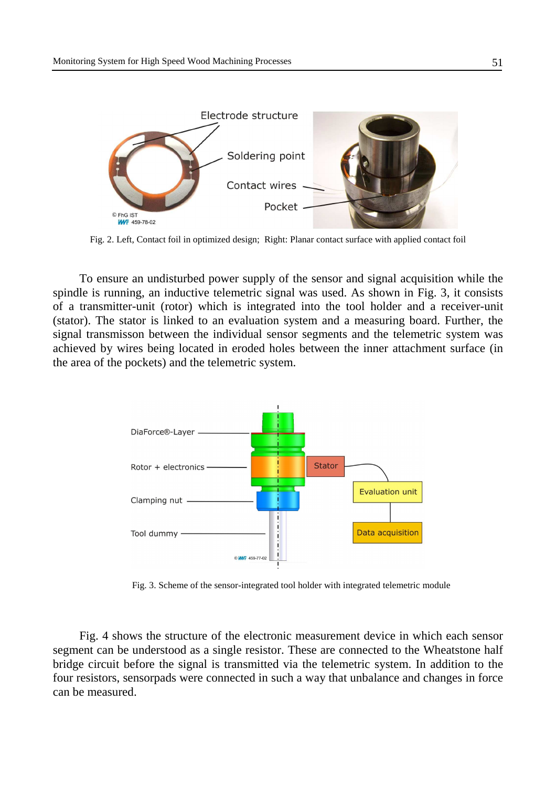

Fig. 2. Left, Contact foil in optimized design; Right: Planar contact surface with applied contact foil

To ensure an undisturbed power supply of the sensor and signal acquisition while the spindle is running, an inductive telemetric signal was used. As shown in Fig. 3, it consists of a transmitter-unit (rotor) which is integrated into the tool holder and a receiver-unit (stator). The stator is linked to an evaluation system and a measuring board. Further, the signal transmisson between the individual sensor segments and the telemetric system was achieved by wires being located in eroded holes between the inner attachment surface (in the area of the pockets) and the telemetric system.



Fig. 3. Scheme of the sensor-integrated tool holder with integrated telemetric module

Fig. 4 shows the structure of the electronic measurement device in which each sensor segment can be understood as a single resistor. These are connected to the Wheatstone half bridge circuit before the signal is transmitted via the telemetric system. In addition to the four resistors, sensorpads were connected in such a way that unbalance and changes in force can be measured.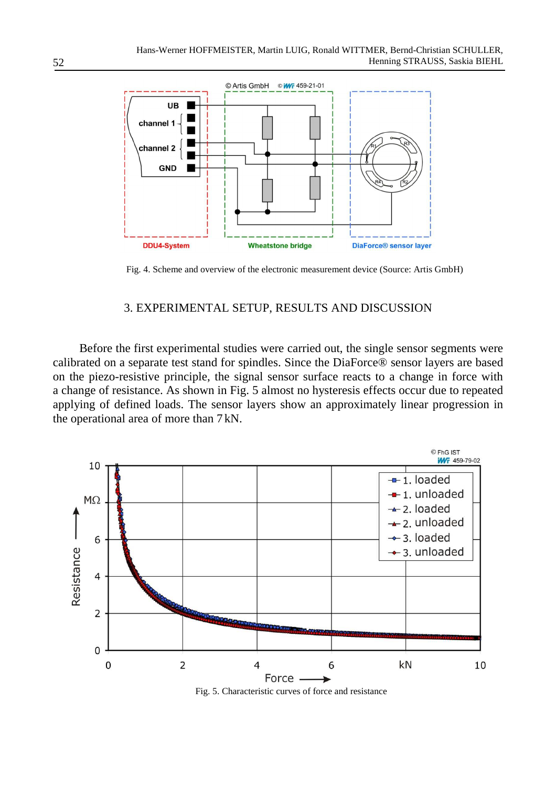

Fig. 4. Scheme and overview of the electronic measurement device (Source: Artis GmbH)

# 3. EXPERIMENTAL SETUP, RESULTS AND DISCUSSION

Before the first experimental studies were carried out, the single sensor segments were calibrated on a separate test stand for spindles. Since the DiaForce® sensor layers are based on the piezo-resistive principle, the signal sensor surface reacts to a change in force with a change of resistance. As shown in Fig. 5 almost no hysteresis effects occur due to repeated applying of defined loads. The sensor layers show an approximately linear progression in the operational area of more than 7 kN.



Fig. 5. Characteristic curves of force and resistance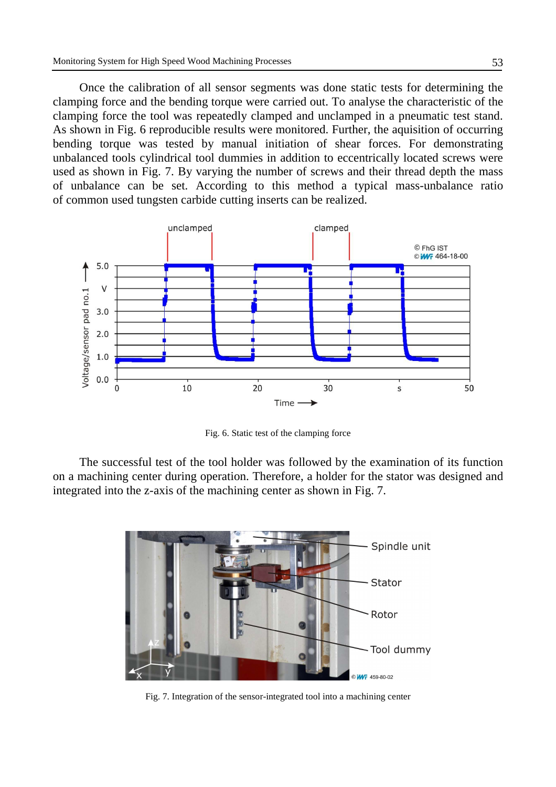Once the calibration of all sensor segments was done static tests for determining the clamping force and the bending torque were carried out. To analyse the characteristic of the clamping force the tool was repeatedly clamped and unclamped in a pneumatic test stand. As shown in Fig. 6 reproducible results were monitored. Further, the aquisition of occurring bending torque was tested by manual initiation of shear forces. For demonstrating unbalanced tools cylindrical tool dummies in addition to eccentrically located screws were used as shown in Fig. 7. By varying the number of screws and their thread depth the mass of unbalance can be set. According to this method a typical mass-unbalance ratio of common used tungsten carbide cutting inserts can be realized.



Fig. 6. Static test of the clamping force

The successful test of the tool holder was followed by the examination of its function on a machining center during operation. Therefore, a holder for the stator was designed and integrated into the z-axis of the machining center as shown in Fig. 7.



Fig. 7. Integration of the sensor-integrated tool into a machining center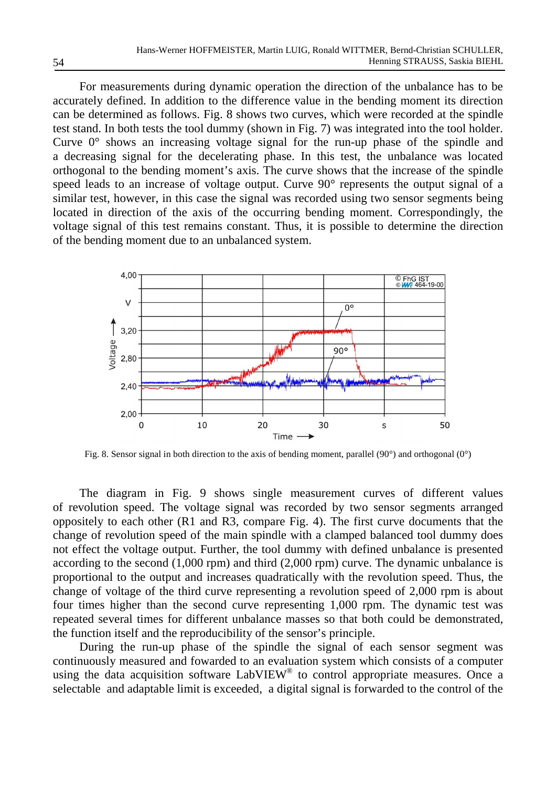For measurements during dynamic operation the direction of the unbalance has to be accurately defined. In addition to the difference value in the bending moment its direction can be determined as follows. Fig. 8 shows two curves, which were recorded at the spindle test stand. In both tests the tool dummy (shown in Fig. 7) was integrated into the tool holder. Curve 0° shows an increasing voltage signal for the run-up phase of the spindle and a decreasing signal for the decelerating phase. In this test, the unbalance was located orthogonal to the bending moment's axis. The curve shows that the increase of the spindle speed leads to an increase of voltage output. Curve 90° represents the output signal of a similar test, however, in this case the signal was recorded using two sensor segments being located in direction of the axis of the occurring bending moment. Correspondingly, the voltage signal of this test remains constant. Thus, it is possible to determine the direction of the bending moment due to an unbalanced system.



Fig. 8. Sensor signal in both direction to the axis of bending moment, parallel (90°) and orthogonal (0°)

The diagram in Fig. 9 shows single measurement curves of different values of revolution speed. The voltage signal was recorded by two sensor segments arranged oppositely to each other (R1 and R3, compare Fig. 4). The first curve documents that the change of revolution speed of the main spindle with a clamped balanced tool dummy does not effect the voltage output. Further, the tool dummy with defined unbalance is presented according to the second (1,000 rpm) and third (2,000 rpm) curve. The dynamic unbalance is proportional to the output and increases quadratically with the revolution speed. Thus, the change of voltage of the third curve representing a revolution speed of 2,000 rpm is about four times higher than the second curve representing 1,000 rpm. The dynamic test was repeated several times for different unbalance masses so that both could be demonstrated, the function itself and the reproducibility of the sensor's principle.

During the run-up phase of the spindle the signal of each sensor segment was continuously measured and fowarded to an evaluation system which consists of a computer using the data acquisition software LabVIEW® to control appropriate measures. Once a selectable and adaptable limit is exceeded, a digital signal is forwarded to the control of the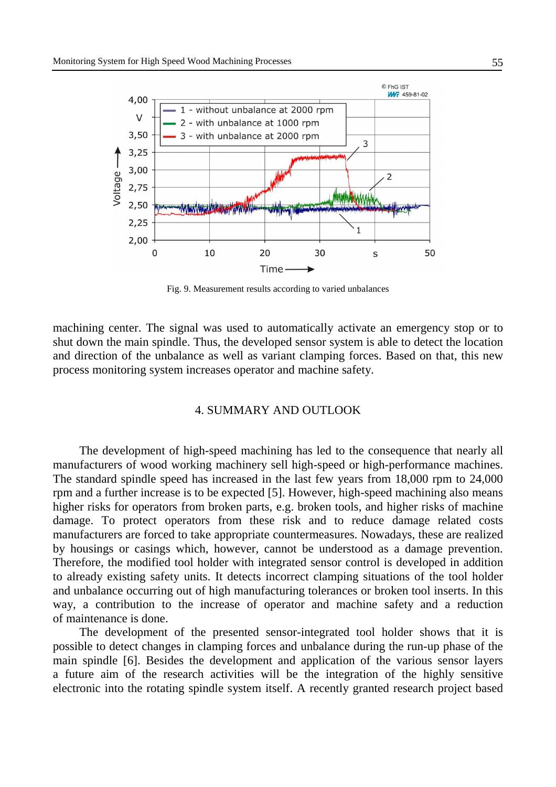

Fig. 9. Measurement results according to varied unbalances

machining center. The signal was used to automatically activate an emergency stop or to shut down the main spindle. Thus, the developed sensor system is able to detect the location and direction of the unbalance as well as variant clamping forces. Based on that, this new process monitoring system increases operator and machine safety.

### 4. SUMMARY AND OUTLOOK

The development of high-speed machining has led to the consequence that nearly all manufacturers of wood working machinery sell high-speed or high-performance machines. The standard spindle speed has increased in the last few years from 18,000 rpm to 24,000 rpm and a further increase is to be expected [5]. However, high-speed machining also means higher risks for operators from broken parts, e.g. broken tools, and higher risks of machine damage. To protect operators from these risk and to reduce damage related costs manufacturers are forced to take appropriate countermeasures. Nowadays, these are realized by housings or casings which, however, cannot be understood as a damage prevention. Therefore, the modified tool holder with integrated sensor control is developed in addition to already existing safety units. It detects incorrect clamping situations of the tool holder and unbalance occurring out of high manufacturing tolerances or broken tool inserts. In this way, a contribution to the increase of operator and machine safety and a reduction of maintenance is done.

The development of the presented sensor-integrated tool holder shows that it is possible to detect changes in clamping forces and unbalance during the run-up phase of the main spindle [6]. Besides the development and application of the various sensor layers a future aim of the research activities will be the integration of the highly sensitive electronic into the rotating spindle system itself. A recently granted research project based